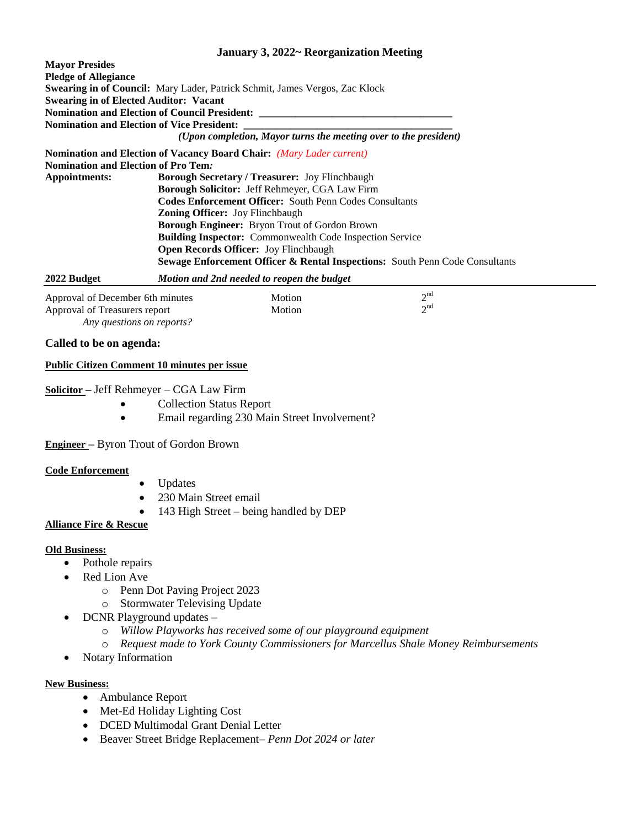## **January 3, 2022~ Reorganization Meeting**

| <b>Mavor Presides</b>                             |                                                                                         |
|---------------------------------------------------|-----------------------------------------------------------------------------------------|
| <b>Pledge of Allegiance</b>                       |                                                                                         |
|                                                   | <b>Swearing in of Council:</b> Mary Lader, Patrick Schmit, James Vergos, Zac Klock      |
| <b>Swearing in of Elected Auditor: Vacant</b>     |                                                                                         |
|                                                   | Nomination and Election of Council President: __________________________________        |
| <b>Nomination and Election of Vice President:</b> |                                                                                         |
|                                                   | (Upon completion, Mayor turns the meeting over to the president)                        |
|                                                   | <b>Nomination and Election of Vacancy Board Chair:</b> (Mary Lader current)             |
| <b>Nomination and Election of Pro Tem:</b>        |                                                                                         |
| Appointments:                                     | <b>Borough Secretary / Treasurer: Joy Flinchbaugh</b>                                   |
|                                                   | <b>Borough Solicitor:</b> Jeff Rehmeyer, CGA Law Firm                                   |
|                                                   | <b>Codes Enforcement Officer:</b> South Penn Codes Consultants                          |
|                                                   | <b>Zoning Officer:</b> Joy Flinchbaugh                                                  |
|                                                   | Borough Engineer: Bryon Trout of Gordon Brown                                           |
|                                                   | <b>Building Inspector:</b> Commonwealth Code Inspection Service                         |
|                                                   | <b>Open Records Officer:</b> Joy Flinchbaugh                                            |
|                                                   | <b>Sewage Enforcement Officer &amp; Rental Inspections:</b> South Penn Code Consultants |

|  | 2022 Budget | Motion and 2nd needed to reopen the budget |
|--|-------------|--------------------------------------------|
|--|-------------|--------------------------------------------|

| Approval of December 6th minutes | Motion        | $\lambda$ nd |  |
|----------------------------------|---------------|--------------|--|
| Approval of Treasurers report    | <b>Motion</b> | $\lambda$ nd |  |
| Any questions on reports?        |               |              |  |

### **Called to be on agenda:**

### **Public Citizen Comment 10 minutes per issue**

## **Solicitor –** Jeff Rehmeyer – CGA Law Firm

- Collection Status Report
- Email regarding 230 Main Street Involvement?

### **Engineer –** Byron Trout of Gordon Brown

### **Code Enforcement**

- Updates
- 230 Main Street email
- 143 High Street being handled by DEP

## **Alliance Fire & Rescue**

### **Old Business:**

- Pothole repairs
- Red Lion Ave
	- o Penn Dot Paving Project 2023
	- o Stormwater Televising Update
- DCNR Playground updates
	- o *Willow Playworks has received some of our playground equipment*
	- o *Request made to York County Commissioners for Marcellus Shale Money Reimbursements*
- Notary Information

## **New Business:**

- Ambulance Report
- Met-Ed Holiday Lighting Cost
- DCED Multimodal Grant Denial Letter
- Beaver Street Bridge Replacement– *Penn Dot 2024 or later*